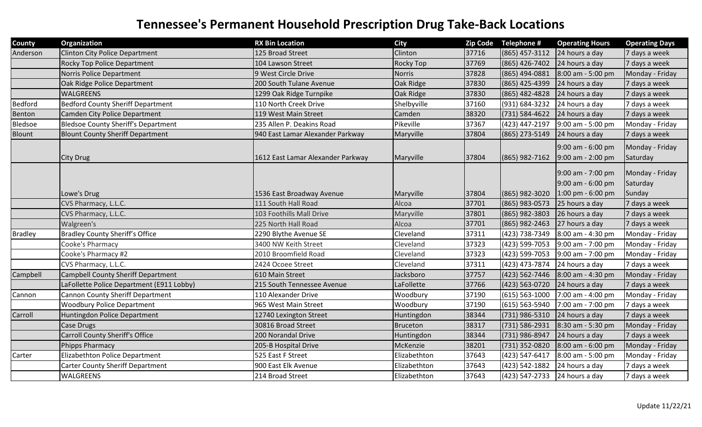| <b>County</b> | Organization                               | <b>RX Bin Location</b>            | <b>City</b>     | <b>Zip Code</b> | Telephone #                   | <b>Operating Hours</b>                                      | <b>Operating Days</b>                 |
|---------------|--------------------------------------------|-----------------------------------|-----------------|-----------------|-------------------------------|-------------------------------------------------------------|---------------------------------------|
| Anderson      | <b>Clinton City Police Department</b>      | 125 Broad Street                  | Clinton         | 37716           | (865) 457-3112                | 24 hours a day                                              | 7 days a week                         |
|               | Rocky Top Police Department                | 104 Lawson Street                 | Rocky Top       | 37769           | (865) 426-7402                | 24 hours a day                                              | 7 days a week                         |
|               | Norris Police Department                   | 9 West Circle Drive               | <b>Norris</b>   | 37828           | (865) 494-0881                | 8:00 am - 5:00 pm                                           | Monday - Friday                       |
|               | Oak Ridge Police Department                | 200 South Tulane Avenue           | Oak Ridge       | 37830           | (865) 425-4399                | 24 hours a day                                              | 7 days a week                         |
|               | <b>WALGREENS</b>                           | 1299 Oak Ridge Turnpike           | Oak Ridge       | 37830           | (865) 482-4828                | 24 hours a day                                              | 7 days a week                         |
| Bedford       | <b>Bedford County Sheriff Department</b>   | 110 North Creek Drive             | Shelbyville     | 37160           | (931) 684-3232                | 24 hours a day                                              | 7 days a week                         |
| Benton        | <b>Camden City Police Department</b>       | 119 West Main Street              | Camden          | 38320           | (731) 584-4622                | 24 hours a day                                              | 7 days a week                         |
| Bledsoe       | <b>Bledsoe County Sheriff's Department</b> | 235 Allen P. Deakins Road         | Pikeville       | 37367           | (423) 447-2197                | $9:00$ am - 5:00 pm                                         | Monday - Friday                       |
| Blount        | <b>Blount County Sheriff Department</b>    | 940 East Lamar Alexander Parkway  | Maryville       | 37804           | (865) 273-5149 24 hours a day |                                                             | 7 days a week                         |
|               |                                            |                                   |                 |                 |                               | 9:00 am - 6:00 pm                                           | Monday - Friday                       |
|               | <b>City Drug</b>                           | 1612 East Lamar Alexander Parkway | Maryville       | 37804           | $(865)$ 982-7162              | $9:00$ am - 2:00 pm                                         | Saturday                              |
|               | Lowe's Drug                                | 1536 East Broadway Avenue         | Maryville       | 37804           | $(865)$ 982-3020              | 9:00 am - 7:00 pm<br>9:00 am - 6:00 pm<br>1:00 pm - 6:00 pm | Monday - Friday<br>Saturday<br>Sunday |
|               | CVS Pharmacy, L.L.C.                       | 111 South Hall Road               | Alcoa           | 37701           | (865) 983-0573                | 25 hours a day                                              | 7 days a week                         |
|               | CVS Pharmacy, L.L.C.                       | 103 Foothills Mall Drive          | Maryville       | 37801           | (865) 982-3803                | 26 hours a day                                              | 7 days a week                         |
|               | Walgreen's                                 | 225 North Hall Road               | Alcoa           | 37701           | (865) 982-2463                | 27 hours a day                                              | 7 days a week                         |
| Bradley       | <b>Bradley County Sheriff's Office</b>     | 2290 Blythe Avenue SE             | Cleveland       | 37311           | (423) 738-7349                | 8:00 am - 4:30 pm                                           | Monday - Friday                       |
|               | Cooke's Pharmacy                           | 3400 NW Keith Street              | Cleveland       | 37323           | (423) 599-7053                | 9:00 am - 7:00 pm                                           | Monday - Friday                       |
|               | Cooke's Pharmacy #2                        | 2010 Broomfield Road              | Cleveland       | 37323           | (423) 599-7053                | 9:00 am - 7:00 pm                                           | Monday - Friday                       |
|               | CVS Pharmacy, L.L.C.                       | 2424 Ocoee Street                 | Cleveland       | 37311           | (423) 473-7874                | 24 hours a day                                              | 7 days a week                         |
| Campbell      | <b>Campbell County Sheriff Department</b>  | 610 Main Street                   | Jacksboro       | 37757           |                               | $(423)$ 562-7446 8:00 am - 4:30 pm                          | Monday - Friday                       |
|               | LaFollette Police Department (E911 Lobby)  | 215 South Tennessee Avenue        | LaFollette      | 37766           | (423) 563-0720                | 24 hours a day                                              | 7 days a week                         |
| Cannon        | <b>Cannon County Sheriff Department</b>    | 110 Alexander Drive               | Woodbury        | 37190           | $(615) 563 - 1000$            | 7:00 am - 4:00 pm                                           | Monday - Friday                       |
|               | <b>Woodbury Police Department</b>          | 965 West Main Street              | Woodbury        | 37190           | (615) 563-5940                | 7:00 am - 7:00 pm                                           | 7 days a week                         |
| Carroll       | Huntingdon Police Department               | 12740 Lexington Street            | Huntingdon      | 38344           | (731) 986-5310                | 24 hours a day                                              | 7 days a week                         |
|               | Case Drugs                                 | 30816 Broad Street                | <b>Bruceton</b> | 38317           | (731) 586-2931                | 8:30 am - 5:30 pm                                           | Monday - Friday                       |
|               | <b>Carroll County Sheriff's Office</b>     | 200 Norandal Drive                | Huntingdon      | 38344           | (731) 986-8947                | 24 hours a day                                              | 7 days a week                         |
|               | <b>Phipps Pharmacy</b>                     | 205-B Hospital Drive              | McKenzie        | 38201           | (731) 352-0820                | 8:00 am - 6:00 pm                                           | Monday - Friday                       |
| Carter        | Elizabethton Police Department             | 525 East F Street                 | Elizabethton    | 37643           | (423) 547-6417                | 8:00 am - 5:00 pm                                           | Monday - Friday                       |
|               | <b>Carter County Sheriff Department</b>    | 900 East Elk Avenue               | Elizabethton    | 37643           | (423) 542-1882                | 24 hours a day                                              | 7 days a week                         |
|               | <b>WALGREENS</b>                           | 214 Broad Street                  | Elizabethton    | 37643           | (423) 547-2733 24 hours a day |                                                             | 7 days a week                         |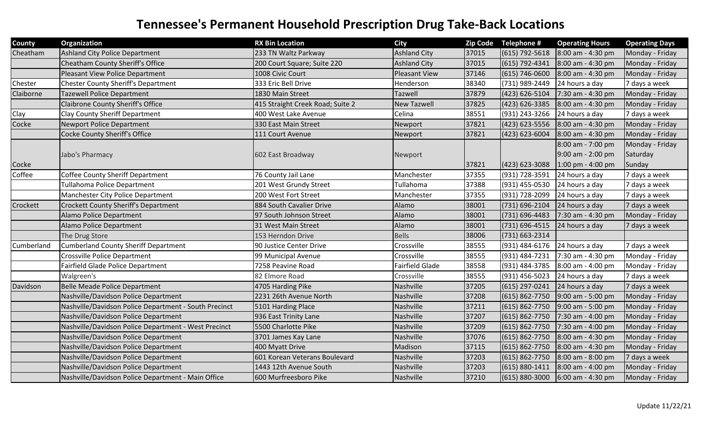| <b>County</b> | Organization                                          | <b>RX Bin Location</b>           | <b>City</b>            | <b>Zip Code</b> | Telephone #        | <b>Operating Hours</b> | <b>Operating Days</b> |
|---------------|-------------------------------------------------------|----------------------------------|------------------------|-----------------|--------------------|------------------------|-----------------------|
| Cheatham      | Ashland City Police Department                        | 233 TN Waltz Parkway             | <b>Ashland City</b>    | 37015           | $(615) 792 - 5618$ | 8:00 am - 4:30 pm      | Monday - Friday       |
|               | Cheatham County Sheriff's Office                      | 200 Court Square; Suite 220      | <b>Ashland City</b>    | 37015           | (615) 792-4341     | 8:00 am - 4:30 pm      | Monday - Friday       |
|               | Pleasant View Police Department                       | 1008 Civic Court                 | <b>Pleasant View</b>   | 37146           | $(615) 746 - 0600$ | $8:00$ am - 4:30 pm    | Monday - Friday       |
| Chester       | <b>Chester County Sheriff's Department</b>            | 333 Eric Bell Drive              | Henderson              | 38340           | (731) 989-2449     | 24 hours a day         | 7 days a week         |
| Claiborne     | Tazewell Police Department                            | 1830 Main Street                 | Tazwell                | 37879           | (423) 626-5104     | 7:30 am - 4:30 pm      | Monday - Friday       |
|               | <b>Claibrone County Sheriff's Office</b>              | 415 Straight Creek Road; Suite 2 | <b>New Tazwell</b>     | 37825           | (423) 626-3385     | 8:00 am - 4:30 pm      | Monday - Friday       |
| Clay          | Clay County Sheriff Department                        | 400 West Lake Avenue             | Celina                 | 38551           | (931) 243-3266     | 24 hours a day         | 7 days a week         |
| Cocke         | Newport Police Department                             | 330 East Main Street             | Newport                | 37821           | (423) 623-5556     | 8:00 am - 4:30 pm      | Monday - Friday       |
|               | Cocke County Sheriff's Office                         | 111 Court Avenue                 | Newport                | 37821           | (423) 623-6004     | 8:00 am - 4:30 pm      | Monday - Friday       |
|               |                                                       |                                  |                        |                 |                    | 8:00 am - 7:00 pm      | Monday - Friday       |
|               | Jabo's Pharmacy                                       | 602 East Broadway                | Newport                |                 |                    | 9:00 am - 2:00 pm      | Saturday              |
| Cocke         |                                                       |                                  |                        | 37821           | (423) 623-3088     | 1:00 pm - 4:00 pm      | Sunday                |
| Coffee        | <b>Coffee County Sheriff Department</b>               | 76 County Jail Lane              | Manchester             | 37355           | (931) 728-3591     | 24 hours a day         | 7 days a week         |
|               | <b>Tullahoma Police Department</b>                    | 201 West Grundy Street           | Tullahoma              | 37388           | (931) 455-0530     | 24 hours a day         | 7 days a week         |
|               | Manchester City Police Department                     | 200 West Fort Street             | Manchester             | 37355           | (931) 728-2099     | 24 hours a day         | 7 days a week         |
| Crockett      | <b>Crockett County Sheriff's Department</b>           | 884 South Cavalier Drive         | Alamo                  | 38001           | (731) 696-2104     | 24 hours a day         | 7 days a week         |
|               | Alamo Police Department                               | 97 South Johnson Street          | Alamo                  | 38001           | (731) 696-4483     | 7:30 am - 4:30 pm      | Monday - Friday       |
|               | Alamo Police Department                               | 31 West Main Street              | Alamo                  | 38001           | (731) 696-4515     | 24 hours a day         | 7 days a week         |
|               | The Drug Store                                        | 153 Herndon Drive                | <b>Bells</b>           | 38006           | (731) 663-2314     |                        |                       |
| Cumberland    | <b>Cumberland County Sheriff Department</b>           | 90 Justice Center Drive          | Crossville             | 38555           | (931) 484-6176     | 24 hours a day         | 7 days a week         |
|               | <b>Crossville Police Department</b>                   | 99 Municipal Avenue              | Crossville             | 38555           | (931) 484-7231     | 7:30 am - 4:30 pm      | Monday - Friday       |
|               | Fairfield Glade Police Department                     | 7258 Peavine Road                | <b>Fairfield Glade</b> | 38558           | (931) 484-3785     | 8:00 am - 4:00 pm      | Monday - Friday       |
|               | Walgreen's                                            | 82 Elmore Road                   | Crossville             | 38555           | (931) 456-5023     | 24 hours a day         | 7 days a week         |
| Davidson      | Belle Meade Police Department                         | 4705 Harding Pike                | Nashville              | 37205           | (615) 297-0241     | 24 hours a day         | 7 days a week         |
|               | Nashville/Davidson Police Department                  | 2231 26th Avenue North           | Nashville              | 37208           | $(615) 862 - 7750$ | 9:00 am - 5:00 pm      | Monday - Friday       |
|               | Nashville/Davidson Police Department - South Precinct | 5101 Harding Place               | Nashville              | 37211           | $(615) 862 - 7750$ | 9:00 am - 5:00 pm      | Monday - Friday       |
|               | Nashville/Davidson Police Department                  | 936 East Trinity Lane            | Nashville              | 37207           | (615) 862-7750     | 7:30 am - 4:00 pm      | Monday - Friday       |
|               | Nashville/Davidson Police Department - West Precinct  | 5500 Charlotte Pike              | Nashville              | 37209           | $(615) 862 - 7750$ | 7:30 am - 4:00 pm      | Monday - Friday       |
|               | Nashville/Davidson Police Department                  | 3701 James Kay Lane              | Nashville              | 37076           | (615) 862-7750     | 8:00 am - 4:30 pm      | Monday - Friday       |
|               | Nashville/Davidson Police Department                  | 400 Myatt Drive                  | Madison                | 37115           | (615) 862-7750     | 8:00 am - 4:30 pm      | Monday - Friday       |
|               | Nashville/Davidson Police Department                  | 601 Korean Veterans Boulevard    | Nashville              | 37203           | $(615) 862 - 7750$ | 8:00 am - 8:00 pm      | 7 days a week         |
|               | Nashville/Davidson Police Department                  | 1443 12th Avenue South           | Nashville              | 37203           | $(615) 880 - 1411$ | $8:00$ am - 4:00 pm    | Monday - Friday       |
|               | Nashville/Davidson Police Department - Main Office    | 600 Murfreesboro Pike            | Nashville              | 37210           | $(615) 880 - 3000$ | 6:00 am - 4:30 pm      | Monday - Friday       |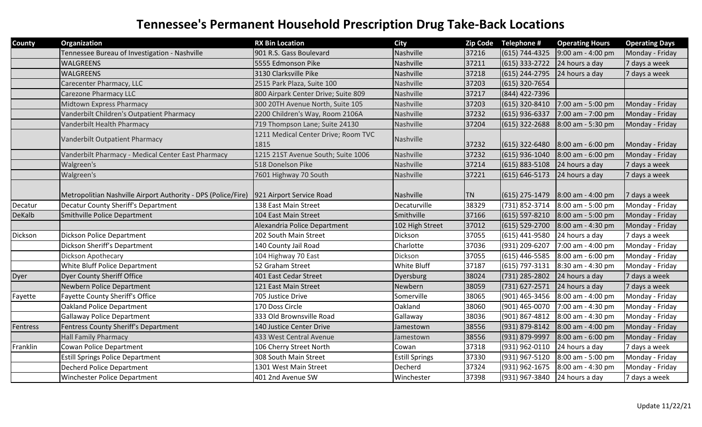| <b>County</b> | Organization                                                  | <b>RX Bin Location</b>                      | <b>City</b>           | <b>Zip Code</b> | Telephone #        | <b>Operating Hours</b> | <b>Operating Days</b> |
|---------------|---------------------------------------------------------------|---------------------------------------------|-----------------------|-----------------|--------------------|------------------------|-----------------------|
|               | Tennessee Bureau of Investigation - Nashville                 | 901 R.S. Gass Boulevard                     | Nashville             | 37216           | $(615) 744 - 4325$ | 9:00 am - 4:00 pm      | Monday - Friday       |
|               | <b>WALGREENS</b>                                              | 5555 Edmonson Pike                          | Nashville             | 37211           | $(615)$ 333-2722   | 24 hours a day         | 7 days a week         |
|               | <b>WALGREENS</b>                                              | 3130 Clarksville Pike                       | Nashville             | 37218           | (615) 244-2795     | 24 hours a day         | 7 days a week         |
|               | Carecenter Pharmacy, LLC                                      | 2515 Park Plaza, Suite 100                  | Nashville             | 37203           | (615) 320-7654     |                        |                       |
|               | <b>Carezone Pharmacy LLC</b>                                  | 800 Airpark Center Drive; Suite 809         | Nashville             | 37217           | (844) 422-7396     |                        |                       |
|               | <b>Midtown Express Pharmacy</b>                               | 300 20TH Avenue North, Suite 105            | Nashville             | 37203           | (615) 320-8410     | 7:00 am - 5:00 pm      | Monday - Friday       |
|               | Vanderbilt Children's Outpatient Pharmacy                     | 2200 Children's Way, Room 2106A             | Nashville             | 37232           | $(615)$ 936-6337   | 7:00 am - 7:00 pm      | Monday - Friday       |
|               | Vanderbilt Health Pharmacy                                    | 719 Thompson Lane; Suite 24130              | Nashville             | 37204           | (615) 322-2688     | 8:00 am - 5:30 pm      | Monday - Friday       |
|               | Vanderbilt Outpatient Pharmacy                                | 1211 Medical Center Drive; Room TVC<br>1815 | Nashville             | 37232           | $(615)$ 322-6480   | 8:00 am - 6:00 pm      | Monday - Friday       |
|               | Vanderbilt Pharmacy - Medical Center East Pharmacy            | 1215 21ST Avenue South; Suite 1006          | Nashville             | 37232           | $(615)$ 936-1040   | 8:00 am - 6:00 pm      | Monday - Friday       |
|               | Walgreen's                                                    | 518 Donelson Pike                           | Nashville             | 37214           | $(615) 883 - 5108$ | 24 hours a day         | 7 days a week         |
|               | Walgreen's                                                    | 7601 Highway 70 South                       | Nashville             | 37221           | $(615) 646 - 5173$ | 24 hours a day         | 7 days a week         |
|               | Metropolitian Nashville Airport Authority - DPS (Police/Fire) | 921 Airport Service Road                    | Nashville             | <b>TN</b>       | $(615)$ 275-1479   | 8:00 am - 4:00 pm      | 7 days a week         |
| Decatur       | Decatur County Sheriff's Department                           | 138 East Main Street                        | Decaturville          | 38329           | (731) 852-3714     | 8:00 am - 5:00 pm      | Monday - Friday       |
| DeKalb        | Smithville Police Department                                  | 104 East Main Street                        | Smithville            | 37166           | (615) 597-8210     | 8:00 am - 5:00 pm      | Monday - Friday       |
|               |                                                               | Alexandria Police Department                | 102 High Street       | 37012           | $(615) 529 - 2700$ | 8:00 am - 4:30 pm      | Monday - Friday       |
| Dickson       | Dickson Police Department                                     | 202 South Main Street                       | Dickson               | 37055           | (615) 441-9580     | 24 hours a day         | 7 days a week         |
|               | Dickson Sheriff's Department                                  | 140 County Jail Road                        | Charlotte             | 37036           | (931) 209-6207     | 7:00 am - 4:00 pm      | Monday - Friday       |
|               | Dickson Apothecary                                            | 104 Highway 70 East                         | Dickson               | 37055           | (615) 446-5585     | 8:00 am - 6:00 pm      | Monday - Friday       |
|               | <b>White Bluff Police Department</b>                          | 52 Graham Street                            | White Bluff           | 37187           | (615) 797-3131     | 8:30 am - 4:30 pm      | Monday - Friday       |
| Dyer          | Dyer County Sheriff Office                                    | 401 East Cedar Street                       | Dyersburg             | 38024           | (731) 285-2802     | 24 hours a day         | 7 days a week         |
|               | Newbern Police Department                                     | 121 East Main Street                        | Newbern               | 38059           | (731) 627-2571     | 24 hours a day         | 7 days a week         |
| Fayette       | <b>Fayette County Sheriff's Office</b>                        | 705 Justice Drive                           | Somerville            | 38065           | (901) 465-3456     | 8:00 am - 4:00 pm      | Monday - Friday       |
|               | <b>Oakland Police Department</b>                              | 170 Doss Circle                             | Oakland               | 38060           | (901) 465-0070     | 7:00 am - 4:30 pm      | Monday - Friday       |
|               | Gallaway Police Department                                    | 333 Old Brownsville Road                    | Gallaway              | 38036           | (901) 867-4812     | 8:00 am - 4:30 pm      | Monday - Friday       |
| Fentress      | Fentress County Sheriff's Department                          | 140 Justice Center Drive                    | Jamestown             | 38556           | (931) 879-8142     | 8:00 am - 4:00 pm      | Monday - Friday       |
|               | <b>Hall Family Pharmacy</b>                                   | 433 West Central Avenue                     | Jamestown             | 38556           | (931) 879-9997     | 8:00 am - 6:00 pm      | Monday - Friday       |
| Franklin      | Cowan Police Department                                       | 106 Cherry Street North                     | Cowan                 | 37318           | (931) 962-0110     | 24 hours a day         | 7 days a week         |
|               | <b>Estill Springs Police Department</b>                       | 308 South Main Street                       | <b>Estill Springs</b> | 37330           | (931) 967-5120     | 8:00 am - 5:00 pm      | Monday - Friday       |
|               | Decherd Police Department                                     | 1301 West Main Street                       | Decherd               | 37324           | (931) 962-1675     | 8:00 am - 4:30 pm      | Monday - Friday       |
|               | Winchester Police Department                                  | 401 2nd Avenue SW                           | Winchester            | 37398           | (931) 967-3840     | 24 hours a day         | 7 days a week         |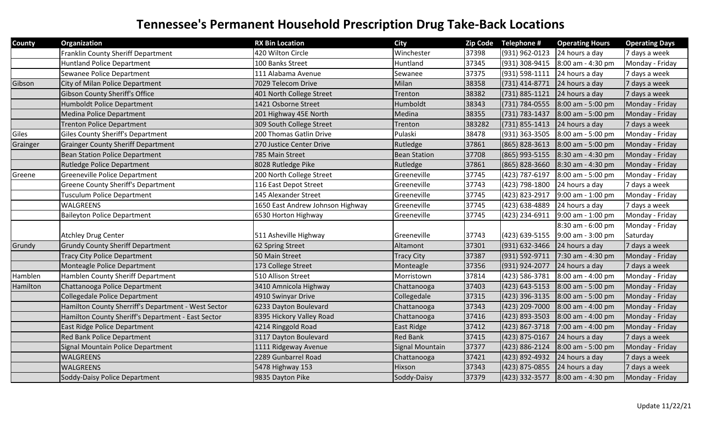| <b>County</b> | Organization                                        | <b>RX Bin Location</b>           | <b>City</b>         |        | Zip Code Telephone # | <b>Operating Hours</b> | <b>Operating Days</b> |
|---------------|-----------------------------------------------------|----------------------------------|---------------------|--------|----------------------|------------------------|-----------------------|
|               | Franklin County Sheriff Department                  | 420 Wilton Circle                | Winchester          | 37398  | (931) 962-0123       | 24 hours a day         | 7 days a week         |
|               | <b>Huntland Police Department</b>                   | 100 Banks Street                 | Huntland            | 37345  | (931) 308-9415       | 8:00 am - 4:30 pm      | Monday - Friday       |
|               | Sewanee Police Department                           | 111 Alabama Avenue               | Sewanee             | 37375  | (931) 598-1111       | 24 hours a day         | 7 days a week         |
| Gibson        | City of Milan Police Department                     | 7029 Telecom Drive               | Milan               | 38358  | (731) 414-8771       | 24 hours a day         | 7 days a week         |
|               | <b>Gibson County Sheriff's Office</b>               | 401 North College Street         | <b>Trenton</b>      | 38382  | (731) 885-1121       | 24 hours a day         | 7 days a week         |
|               | Humboldt Police Department                          | 1421 Osborne Street              | Humboldt            | 38343  | (731) 784-0555       | 8:00 am - 5:00 pm      | Monday - Friday       |
|               | Medina Police Department                            | 201 Highway 45E North            | Medina              | 38355  | (731) 783-1437       | 8:00 am - 5:00 pm      | Monday - Friday       |
|               | <b>Trenton Police Department</b>                    | 309 South College Street         | Trenton             | 383282 | $(731) 855 - 1413$   | 24 hours a day         | 7 days a week         |
| Giles         | <b>Giles County Sheriff's Department</b>            | 200 Thomas Gatlin Drive          | Pulaski             | 38478  | (931) 363-3505       | 8:00 am - 5:00 pm      | Monday - Friday       |
| Grainger      | <b>Grainger County Sheriff Department</b>           | 270 Justice Center Drive         | Rutledge            | 37861  | (865) 828-3613       | 8:00 am - 5:00 pm      | Monday - Friday       |
|               | <b>Bean Station Police Department</b>               | 785 Main Street                  | <b>Bean Station</b> | 37708  | (865) 993-5155       | 8:30 am - 4:30 pm      | Monday - Friday       |
|               | <b>Rutledge Police Department</b>                   | 8028 Rutledge Pike               | Rutledge            | 37861  | (865) 828-3660       | 8:30 am - 4:30 pm      | Monday - Friday       |
| Greene        | Greeneville Police Department                       | 200 North College Street         | Greeneville         | 37745  | (423) 787-6197       | 8:00 am - 5:00 pm      | Monday - Friday       |
|               | <b>Greene County Sheriff's Department</b>           | 116 East Depot Street            | Greeneville         | 37743  | (423) 798-1800       | 24 hours a day         | 7 days a week         |
|               | Tusculum Police Department                          | 145 Alexander Street             | Greeneville         | 37745  | (423) 823-2917       | 9:00 am - 1:00 pm      | Monday - Friday       |
|               | WALGREENS                                           | 1650 East Andrew Johnson Highway | Greeneville         | 37745  | (423) 638-4889       | 24 hours a day         | 7 days a week         |
|               | <b>Baileyton Police Department</b>                  | 6530 Horton Highway              | Greeneville         | 37745  | (423) 234-6911       | 9:00 am - 1:00 pm      | Monday - Friday       |
|               |                                                     |                                  |                     |        |                      | 8:30 am - 6:00 pm      | Monday - Friday       |
|               | <b>Atchley Drug Center</b>                          | 511 Asheville Highway            | Greeneville         | 37743  | (423) 639-5155       | 9:00 am - 3:00 pm      | Saturday              |
| Grundy        | <b>Grundy County Sheriff Department</b>             | 62 Spring Street                 | Altamont            | 37301  | (931) 632-3466       | 24 hours a day         | 7 days a week         |
|               | <b>Tracy City Police Department</b>                 | 50 Main Street                   | Tracy City          | 37387  | (931) 592-9711       | 7:30 am - 4:30 pm      | Monday - Friday       |
|               | Monteagle Police Department                         | 173 College Street               | Monteagle           | 37356  | (931) 924-2077       | 24 hours a day         | 7 days a week         |
| Hamblen       | Hamblen County Sheriff Department                   | 510 Allison Street               | Morristown          | 37814  | (423) 586-3781       | 8:00 am - 4:00 pm      | Monday - Friday       |
| Hamilton      | Chattanooga Police Department                       | 3410 Amnicola Highway            | Chattanooga         | 37403  | (423) 643-5153       | 8:00 am - 5:00 pm      | Monday - Friday       |
|               | <b>Collegedale Police Department</b>                | 4910 Swinyar Drive               | Collegedale         | 37315  | (423) 396-3135       | 8:00 am - 5:00 pm      | Monday - Friday       |
|               | Hamilton County Sherriff's Department - West Sector | 6233 Dayton Boulevard            | Chattanooga         | 37343  | (423) 209-7000       | 8:00 am - 4:00 pm      | Monday - Friday       |
|               | Hamilton County Sheriff's Department - East Sector  | 8395 Hickory Valley Road         | Chattanooga         | 37416  | (423) 893-3503       | 8:00 am - 4:00 pm      | Monday - Friday       |
|               | East Ridge Police Department                        | 4214 Ringgold Road               | East Ridge          | 37412  | (423) 867-3718       | 7:00 am - 4:00 pm      | Monday - Friday       |
|               | Red Bank Police Department                          | 3117 Dayton Boulevard            | <b>Red Bank</b>     | 37415  | (423) 875-0167       | 24 hours a day         | 7 days a week         |
|               | Signal Mountain Police Department                   | 1111 Ridgeway Avenue             | Signal Mountain     | 37377  | (423) 886-2124       | 8:00 am - 5:00 pm      | Monday - Friday       |
|               | WALGREENS                                           | 2289 Gunbarrel Road              | Chattanooga         | 37421  | (423) 892-4932       | 24 hours a day         | 7 days a week         |
|               | <b>WALGREENS</b>                                    | 5478 Highway 153                 | Hixson              | 37343  | (423) 875-0855       | 24 hours a day         | 7 days a week         |
|               | Soddy-Daisy Police Department                       | 9835 Dayton Pike                 | Soddy-Daisy         | 37379  | (423) 332-3577       | $8:00$ am - 4:30 pm    | Monday - Friday       |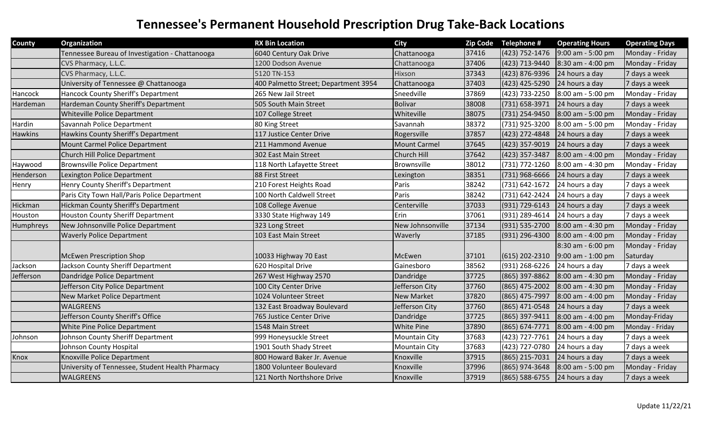| County         | Organization                                     | <b>RX Bin Location</b>               | <b>City</b>          |       | Zip Code Telephone # | <b>Operating Hours</b> | <b>Operating Days</b> |
|----------------|--------------------------------------------------|--------------------------------------|----------------------|-------|----------------------|------------------------|-----------------------|
|                | Tennessee Bureau of Investigation - Chattanooga  | 6040 Century Oak Drive               | Chattanooga          | 37416 | (423) 752-1476       | 9:00 am - 5:00 pm      | Monday - Friday       |
|                | CVS Pharmacy, L.L.C.                             | 1200 Dodson Avenue                   | Chattanooga          | 37406 | (423) 713-9440       | 8:30 am - 4:00 pm      | Monday - Friday       |
|                | CVS Pharmacy, L.L.C.                             | 5120 TN-153                          | Hixson               | 37343 | (423) 876-9396       | 24 hours a day         | 7 days a week         |
|                | University of Tennessee @ Chattanooga            | 400 Palmetto Street; Department 3954 | Chattanooga          | 37403 | (423) 425-5290       | 24 hours a day         | 7 days a week         |
| Hancock        | Hancock County Sheriff's Department              | 265 New Jail Street                  | Sneedville           | 37869 | (423) 733-2250       | 8:00 am - 5:00 pm      | Monday - Friday       |
| Hardeman       | Hardeman County Sheriff's Department             | 505 South Main Street                | <b>Bolivar</b>       | 38008 | (731) 658-3971       | 24 hours a day         | 7 days a week         |
|                | Whiteville Police Department                     | 107 College Street                   | Whiteville           | 38075 | (731) 254-9450       | 8:00 am - 5:00 pm      | Monday - Friday       |
| Hardin         | Savannah Police Department                       | 80 King Street                       | Savannah             | 38372 | (731) 925-3200       | 8:00 am - 5:00 pm      | Monday - Friday       |
| <b>Hawkins</b> | Hawkins County Sheriff's Department              | 117 Justice Center Drive             | Rogersville          | 37857 | (423) 272-4848       | 24 hours a day         | 7 days a week         |
|                | Mount Carmel Police Department                   | 211 Hammond Avenue                   | <b>Mount Carmel</b>  | 37645 | (423) 357-9019       | 24 hours a day         | 7 days a week         |
|                | Church Hill Police Department                    | 302 East Main Street                 | Church Hill          | 37642 | (423) 357-3487       | 8:00 am - 4:00 pm      | Monday - Friday       |
| Haywood        | <b>Brownsville Police Department</b>             | 118 North Lafayette Street           | Brownsville          | 38012 | (731) 772-1260       | 8:00 am - 4:30 pm      | Monday - Friday       |
| Henderson      | Lexington Police Department                      | 88 First Street                      | Lexington            | 38351 | (731) 968-6666       | 24 hours a day         | 7 days a week         |
| Henry          | Henry County Sheriff's Department                | 210 Forest Heights Road              | Paris                | 38242 | (731) 642-1672       | 24 hours a day         | 7 days a week         |
|                | Paris City Town Hall/Paris Police Department     | 100 North Caldwell Street            | Paris                | 38242 | (731) 642-2424       | 24 hours a day         | 7 days a week         |
| Hickman        | <b>Hickman County Sheriff's Department</b>       | 108 College Avenue                   | Centerville          | 37033 | (931) 729-6143       | 24 hours a day         | 7 days a week         |
| Houston        | <b>Houston County Sheriff Department</b>         | 3330 State Highway 149               | Erin                 | 37061 | (931) 289-4614       | 24 hours a day         | 7 days a week         |
| Humphreys      | New Johnsonville Police Department               | 323 Long Street                      | New Johnsonville     | 37134 | (931) 535-2700       | 8:00 am - 4:30 pm      | Monday - Friday       |
|                | <b>Waverly Police Department</b>                 | 103 East Main Street                 | Waverly              | 37185 | (931) 296-4300       | 8:00 am - 4:00 pm      | Monday - Friday       |
|                |                                                  |                                      |                      |       |                      | 8:30 am - 6:00 pm      | Monday - Friday       |
|                | <b>McEwen Prescription Shop</b>                  | 10033 Highway 70 East                | McEwen               | 37101 | (615) 202-2310       | 9:00 am - 1:00 pm      | Saturday              |
| Jackson        | Jackson County Sheriff Department                | 620 Hospital Drive                   | Gainesboro           | 38562 | (931) 268-6226       | 24 hours a day         | 7 days a week         |
| Jefferson      | Dandridge Police Department                      | 267 West Highway 2570                | Dandridge            | 37725 | (865) 397-8862       | 8:00 am - 4:30 pm      | Monday - Friday       |
|                | Jefferson City Police Department                 | 100 City Center Drive                | Jefferson City       | 37760 | (865) 475-2002       | 8:00 am - 4:30 pm      | Monday - Friday       |
|                | New Market Police Department                     | 1024 Volunteer Street                | <b>New Market</b>    | 37820 | (865) 475-7997       | 8:00 am - 4:00 pm      | Monday - Friday       |
|                | <b>WALGREENS</b>                                 | 132 East Broadway Boulevard          | Jefferson City       | 37760 | (865) 471-0548       | 24 hours a day         | 7 days a week         |
|                | Jefferson County Sheriff's Office                | 765 Justice Center Drive             | Dandridge            | 37725 | (865) 397-9411       | 8:00 am - 4:00 pm      | Monday-Friday         |
|                | White Pine Police Department                     | 1548 Main Street                     | <b>White Pine</b>    | 37890 | (865) 674-7771       | 8:00 am - 4:00 pm      | Monday - Friday       |
| Johnson        | Johnson County Sheriff Department                | 999 Honeysuckle Street               | <b>Mountain City</b> | 37683 | (423) 727-7761       | 24 hours a day         | 7 days a week         |
|                | Johnson County Hospital                          | 1901 South Shady Street              | Mountain City        | 37683 | (423) 727-0780       | 24 hours a day         | 7 days a week         |
| Knox           | Knoxville Police Department                      | 800 Howard Baker Jr. Avenue          | Knoxville            | 37915 | (865) 215-7031       | 24 hours a day         | 7 days a week         |
|                | University of Tennessee, Student Health Pharmacy | 1800 Volunteer Boulevard             | Knoxville            | 37996 | (865) 974-3648       | 8:00 am - 5:00 pm      | Monday - Friday       |
|                | <b>WALGREENS</b>                                 | 121 North Northshore Drive           | Knoxville            | 37919 | (865) 588-6755       | 24 hours a day         | 7 days a week         |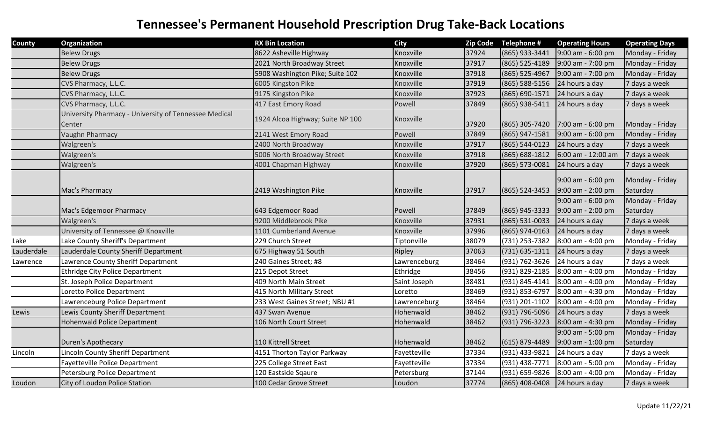| <b>County</b> | Organization                                                    | <b>RX Bin Location</b>           | <b>City</b>  | <b>Zip Code</b> | Telephone #        | <b>Operating Hours</b>                   | <b>Operating Days</b>       |
|---------------|-----------------------------------------------------------------|----------------------------------|--------------|-----------------|--------------------|------------------------------------------|-----------------------------|
|               | <b>Belew Drugs</b>                                              | 8622 Asheville Highway           | Knoxville    | 37924           | (865) 933-3441     | 9:00 am - 6:00 pm                        | Monday - Friday             |
|               | <b>Belew Drugs</b>                                              | 2021 North Broadway Street       | Knoxville    | 37917           | (865) 525-4189     | 9:00 am - 7:00 pm                        | Monday - Friday             |
|               | <b>Belew Drugs</b>                                              | 5908 Washington Pike; Suite 102  | Knoxville    | 37918           | (865) 525-4967     | 9:00 am - 7:00 pm                        | Monday - Friday             |
|               | CVS Pharmacy, L.L.C.                                            | 6005 Kingston Pike               | Knoxville    | 37919           | (865) 588-5156     | 24 hours a day                           | 7 days a week               |
|               | CVS Pharmacy, L.L.C.                                            | 9175 Kingston Pike               | Knoxville    | 37923           | (865) 690-1571     | 24 hours a day                           | 7 days a week               |
|               | CVS Pharmacy, L.L.C.                                            | 417 East Emory Road              | Powell       | 37849           | (865) 938-5411     | 24 hours a day                           | 7 days a week               |
|               | University Pharmacy - University of Tennessee Medical<br>Center | 1924 Alcoa Highway; Suite NP 100 | Knoxville    | 37920           | (865) 305-7420     | 7:00 am - 6:00 pm                        | Monday - Friday             |
|               | Vaughn Pharmacy                                                 | 2141 West Emory Road             | Powell       | 37849           | (865) 947-1581     | 9:00 am - 6:00 pm                        | Monday - Friday             |
|               | Walgreen's                                                      | 2400 North Broadway              | Knoxville    | 37917           | (865) 544-0123     | 24 hours a day                           | 7 days a week               |
|               | Walgreen's                                                      | 5006 North Broadway Street       | Knoxville    | 37918           | (865) 688-1812     | 6:00 am - 12:00 am                       | 7 days a week               |
|               | Walgreen's                                                      | 4001 Chapman Highway             | Knoxville    | 37920           | (865) 573-0081     | 24 hours a day                           | 7 days a week               |
|               | Mac's Pharmacy                                                  | 2419 Washington Pike             | Knoxville    | 37917           | $(865) 524 - 3453$ | 9:00 am - 6:00 pm<br>9:00 am - 2:00 pm   | Monday - Friday<br>Saturday |
|               |                                                                 |                                  |              |                 |                    | 9:00 am - 6:00 pm                        | Monday - Friday             |
|               | Mac's Edgemoor Pharmacy                                         | 643 Edgemoor Road                | Powell       | 37849           | (865) 945-3333     | 9:00 am - 2:00 pm                        | Saturday                    |
|               | Walgreen's                                                      | 9200 Middlebrook Pike            | Knoxville    | 37931           | (865) 531-0033     | 24 hours a day                           | 7 days a week               |
|               | University of Tennessee @ Knoxville                             | 1101 Cumberland Avenue           | Knoxville    | 37996           | (865) 974-0163     | 24 hours a day                           | 7 days a week               |
| Lake          | Lake County Sheriff's Department                                | 229 Church Street                | Tiptonville  | 38079           | (731) 253-7382     | 8:00 am - 4:00 pm                        | Monday - Friday             |
| Lauderdale    | Lauderdale County Sheriff Department                            | 675 Highway 51 South             | Ripley       | 37063           | (731) 635-1311     | 24 hours a day                           | 7 days a week               |
| Lawrence      | Lawrence County Sheriff Department                              | 240 Gaines Street; #8            | Lawrenceburg | 38464           | (931) 762-3626     | 24 hours a day                           | 7 days a week               |
|               | Ethridge City Police Department                                 | 215 Depot Street                 | Ethridge     | 38456           | (931) 829-2185     | 8:00 am - 4:00 pm                        | Monday - Friday             |
|               | St. Joseph Police Department                                    | 409 North Main Street            | Saint Joseph | 38481           | (931) 845-4141     | 8:00 am - 4:00 pm                        | Monday - Friday             |
|               | Loretto Police Department                                       | 415 North Military Street        | Loretto      | 38469           | (931) 853-6797     | 8:00 am - 4:30 pm                        | Monday - Friday             |
|               | Lawrenceburg Police Department                                  | 233 West Gaines Street; NBU #1   | Lawrenceburg | 38464           | (931) 201-1102     | 8:00 am - 4:00 pm                        | Monday - Friday             |
| Lewis         | Lewis County Sheriff Department                                 | 437 Swan Avenue                  | Hohenwald    | 38462           | (931) 796-5096     | 24 hours a day                           | 7 days a week               |
|               | Hohenwald Police Department                                     | 106 North Court Street           | Hohenwald    | 38462           | (931) 796-3223     | 8:00 am - 4:30 pm                        | Monday - Friday             |
|               | Duren's Apothecary                                              | 110 Kittrell Street              | Hohenwald    | 38462           | $(615) 879 - 4489$ | 9:00 am - 5:00 pm<br>$9:00$ am - 1:00 pm | Monday - Friday<br>Saturday |
| Lincoln       | Lincoln County Sheriff Department                               | 4151 Thorton Taylor Parkway      | Fayetteville | 37334           | (931) 433-9821     | 24 hours a day                           | 7 days a week               |
|               | Fayetteville Police Department                                  | 225 College Street East          | Fayetteville | 37334           | (931) 438-7771     | 8:00 am - 5:00 pm                        | Monday - Friday             |
|               | Petersburg Police Department                                    | 120 Eastside Sqaure              | Petersburg   | 37144           | (931) 659-9826     | 8:00 am - 4:00 pm                        | Monday - Friday             |
| Loudon        | City of Loudon Police Station                                   | 100 Cedar Grove Street           | Loudon       | 37774           | (865) 408-0408     | 24 hours a day                           | 7 days a week               |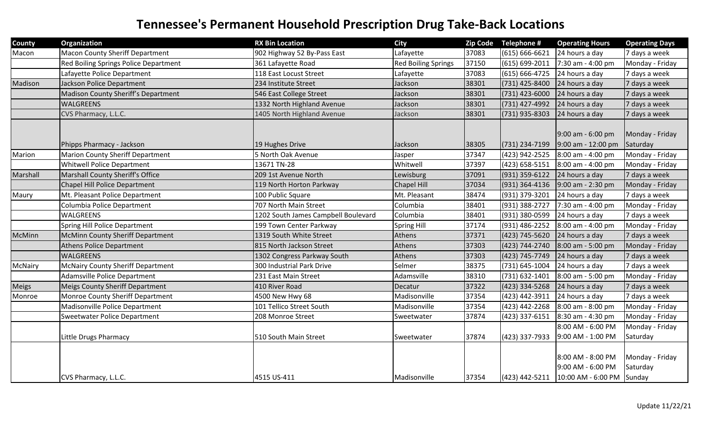| County   | Organization                             | <b>RX Bin Location</b>              | <b>City</b>                |       | Zip Code Telephone # | <b>Operating Hours</b>                     | <b>Operating Days</b> |
|----------|------------------------------------------|-------------------------------------|----------------------------|-------|----------------------|--------------------------------------------|-----------------------|
| Macon    | <b>Macon County Sheriff Department</b>   | 902 Highway 52 By-Pass East         | Lafayette                  | 37083 | $(615) 666 - 6621$   | 24 hours a day                             | 7 days a week         |
|          | Red Boiling Springs Police Department    | 361 Lafayette Road                  | <b>Red Boiling Springs</b> | 37150 | (615) 699-2011       | 7:30 am - 4:00 pm                          | Monday - Friday       |
|          | Lafayette Police Department              | 118 East Locust Street              | Lafayette                  | 37083 | $(615) 666 - 4725$   | 24 hours a day                             | 7 days a week         |
| Madison  | Jackson Police Department                | 234 Institute Street                | Jackson                    | 38301 | (731) 425-8400       | 24 hours a day                             | 7 days a week         |
|          | Madison County Sheriff's Department      | 546 East College Street             | Jackson                    | 38301 | $(731)$ 423-6000     | 24 hours a day                             | 7 days a week         |
|          | <b>WALGREENS</b>                         | 1332 North Highland Avenue          | Jackson                    | 38301 | (731) 427-4992       | 24 hours a day                             | 7 days a week         |
|          | CVS Pharmacy, L.L.C.                     | 1405 North Highland Avenue          | Jackson                    | 38301 | $(731)$ 935-8303     | 24 hours a day                             | 7 days a week         |
|          |                                          |                                     |                            |       |                      |                                            |                       |
|          |                                          |                                     |                            |       |                      | 9:00 am - 6:00 pm                          | Monday - Friday       |
|          | Phipps Pharmacy - Jackson                | 19 Hughes Drive                     | Jackson                    | 38305 | $(731)$ 234-7199     | 9:00 am - 12:00 pm                         | Saturday              |
| Marion   | <b>Marion County Sheriff Department</b>  | 5 North Oak Avenue                  | Jasper                     | 37347 | (423) 942-2525       | 8:00 am - 4:00 pm                          | Monday - Friday       |
|          | <b>Whitwell Police Department</b>        | 13671 TN-28                         | Whitwell                   | 37397 | $(423) 658 - 5151$   | 8:00 am - 4:00 pm                          | Monday - Friday       |
| Marshall | Marshall County Sheriff's Office         | 209 1st Avenue North                | Lewisburg                  | 37091 | (931) 359-6122       | 24 hours a day                             | 7 days a week         |
|          | Chapel Hill Police Department            | 119 North Horton Parkway            | <b>Chapel Hill</b>         | 37034 | (931) 364-4136       | 9:00 am - 2:30 pm                          | Monday - Friday       |
| Maury    | Mt. Pleasant Police Department           | 100 Public Square                   | Mt. Pleasant               | 38474 | (931) 379-3201       | 24 hours a day                             | 7 days a week         |
|          | Columbia Police Department               | 707 North Main Street               | Columbia                   | 38401 | (931) 388-2727       | 7:30 am - 4:00 pm                          | Monday - Friday       |
|          | WALGREENS                                | 1202 South James Campbell Boulevard | Columbia                   | 38401 | (931) 380-0599       | 24 hours a day                             | 7 days a week         |
|          | Spring Hill Police Department            | 199 Town Center Parkway             | Spring Hill                | 37174 | (931) 486-2252       | 8:00 am - 4:00 pm                          | Monday - Friday       |
| McMinn   | McMinn County Sheriff Department         | 1319 South White Street             | Athens                     | 37371 | (423) 745-5620       | 24 hours a day                             | 7 days a week         |
|          | <b>Athens Police Department</b>          | 815 North Jackson Street            | Athens                     | 37303 | (423) 744-2740       | 8:00 am - 5:00 pm                          | Monday - Friday       |
|          | <b>WALGREENS</b>                         | 1302 Congress Parkway South         | Athens                     | 37303 | (423) 745-7749       | 24 hours a day                             | 7 days a week         |
| McNairy  | <b>McNairy County Sheriff Department</b> | 300 Industrial Park Drive           | Selmer                     | 38375 | (731) 645-1004       | 24 hours a day                             | 7 days a week         |
|          | <b>Adamsville Police Department</b>      | 231 East Main Street                | Adamsville                 | 38310 | (731) 632-1401       | 8:00 am - 5:00 pm                          | Monday - Friday       |
| Meigs    | <b>Meigs County Sheriff Department</b>   | 410 River Road                      | Decatur                    | 37322 | (423) 334-5268       | 24 hours a day                             | 7 days a week         |
| Monroe   | Monroe County Sheriff Department         | 4500 New Hwy 68                     | Madisonville               | 37354 | (423) 442-3911       | 24 hours a day                             | 7 days a week         |
|          | Madisonville Police Department           | 101 Tellico Street South            | Madisonville               | 37354 | (423) 442-2268       | 8:00 am - 8:00 pm                          | Monday - Friday       |
|          | Sweetwater Police Department             | 208 Monroe Street                   | Sweetwater                 | 37874 | (423) 337-6151       | 8:30 am - 4:30 pm                          | Monday - Friday       |
|          |                                          |                                     |                            |       |                      | 8:00 AM - 6:00 PM                          | Monday - Friday       |
|          | Little Drugs Pharmacy                    | 510 South Main Street               | Sweetwater                 | 37874 | $(423)$ 337-7933     | 9:00 AM - 1:00 PM                          | Saturday              |
|          |                                          |                                     |                            |       |                      |                                            |                       |
|          |                                          |                                     |                            |       |                      | 8:00 AM - 8:00 PM                          | Monday - Friday       |
|          |                                          |                                     |                            |       |                      | 9:00 AM - 6:00 PM                          | Saturday              |
|          | CVS Pharmacy, L.L.C.                     | 4515 US-411                         | Madisonville               | 37354 |                      | $(423)$ 442-5211 10:00 AM - 6:00 PM Sunday |                       |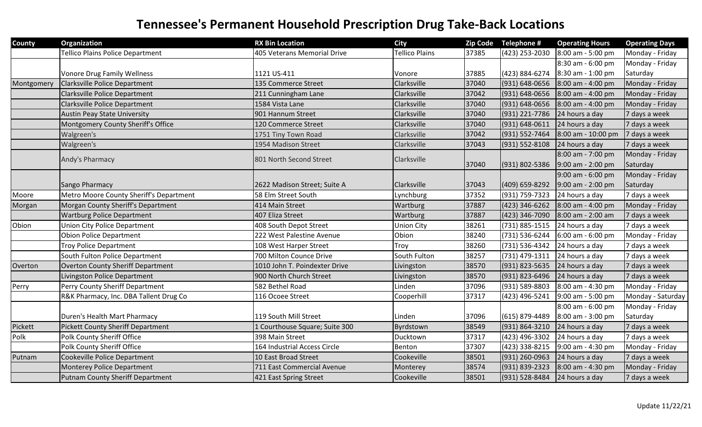| <b>County</b> | Organization                             | <b>RX Bin Location</b>         | <b>City</b>           | <b>Zip Code</b> | Telephone #        | <b>Operating Hours</b> | <b>Operating Days</b> |
|---------------|------------------------------------------|--------------------------------|-----------------------|-----------------|--------------------|------------------------|-----------------------|
|               | Tellico Plains Police Department         | 405 Veterans Memorial Drive    | <b>Tellico Plains</b> | 37385           | (423) 253-2030     | 8:00 am - 5:00 pm      | Monday - Friday       |
|               |                                          |                                |                       |                 |                    | 8:30 am - 6:00 pm      | Monday - Friday       |
|               | <b>Vonore Drug Family Wellness</b>       | 1121 US-411                    | Vonore                | 37885           | (423) 884-6274     | 8:30 am - 1:00 pm      | Saturday              |
| Montgomery    | Clarksville Police Department            | 135 Commerce Street            | Clarksville           | 37040           | (931) 648-0656     | 8:00 am - 4:00 pm      | Monday - Friday       |
|               | <b>Clarksville Police Department</b>     | 211 Cunningham Lane            | Clarksville           | 37042           | (931) 648-0656     | $8:00$ am - 4:00 pm    | Monday - Friday       |
|               | Clarksville Police Department            | 1584 Vista Lane                | Clarksville           | 37040           | (931) 648-0656     | 8:00 am - 4:00 pm      | Monday - Friday       |
|               | <b>Austin Peay State University</b>      | 901 Hannum Street              | Clarksville           | 37040           | (931) 221-7786     | 24 hours a day         | 7 days a week         |
|               | Montgomery County Sheriff's Office       | 120 Commerce Street            | Clarksville           | 37040           | (931) 648-0611     | 24 hours a day         | 7 days a week         |
|               | Walgreen's                               | 1751 Tiny Town Road            | Clarksville           | 37042           | (931) 552-7464     | 8:00 am - 10:00 pm     | 7 days a week         |
|               | Walgreen's                               | 1954 Madison Street            | Clarksville           | 37043           | $(931) 552 - 8108$ | 24 hours a day         | 7 days a week         |
|               | Andy's Pharmacy                          | 801 North Second Street        | Clarksville           |                 |                    | 8:00 am - 7:00 pm      | Monday - Friday       |
|               |                                          |                                |                       | 37040           | $(931) 802 - 5386$ | 9:00 am - 2:00 pm      | Saturday              |
|               |                                          |                                |                       |                 |                    | 9:00 am - 6:00 pm      | Monday - Friday       |
|               | Sango Pharmacy                           | 2622 Madison Street; Suite A   | Clarksville           | 37043           | (409) 659-8292     | $9:00$ am - 2:00 pm    | Saturday              |
| Moore         | Metro Moore County Sheriff's Department  | 58 Elm Street South            | Lynchburg             | 37352           | (931) 759-7323     | 24 hours a day         | 7 days a week         |
| Morgan        | Morgan County Sheriff's Department       | 414 Main Street                | Wartburg              | 37887           | $(423)$ 346-6262   | $8:00$ am - 4:00 pm    | Monday - Friday       |
|               | <b>Wartburg Police Department</b>        | 407 Eliza Street               | Wartburg              | 37887           | (423) 346-7090     | 8:00 am - 2:00 am      | 7 days a week         |
| Obion         | <b>Union City Police Department</b>      | 408 South Depot Street         | <b>Union City</b>     | 38261           | (731) 885-1515     | 24 hours a day         | 7 days a week         |
|               | <b>Obion Police Department</b>           | 222 West Palestine Avenue      | Obion                 | 38240           | (731) 536-6244     | 6:00 am - 6:00 pm      | Monday - Friday       |
|               | <b>Troy Police Department</b>            | 108 West Harper Street         | Troy                  | 38260           | (731) 536-4342     | 24 hours a day         | 7 days a week         |
|               | South Fulton Police Department           | 700 Milton Counce Drive        | South Fulton          | 38257           | (731) 479-1311     | 24 hours a day         | 7 days a week         |
| Overton       | <b>Overton County Sheriff Department</b> | 1010 John T. Poindexter Drive  | Livingston            | 38570           | (931) 823-5635     | 24 hours a day         | 7 days a week         |
|               | Livingston Police Department             | 900 North Church Street        | Livingston            | 38570           | (931) 823-6496     | 24 hours a day         | 7 days a week         |
| Perry         | Perry County Sheriff Department          | 582 Bethel Road                | Linden                | 37096           | (931) 589-8803     | 8:00 am - 4:30 pm      | Monday - Friday       |
|               | R&K Pharmacy, Inc. DBA Tallent Drug Co   | 116 Ocoee Street               | Cooperhill            | 37317           | (423) 496-5241     | 9:00 am - 5:00 pm      | Monday - Saturday     |
|               |                                          |                                |                       |                 |                    | 8:00 am - 6:00 pm      | Monday - Friday       |
|               | Duren's Health Mart Pharmacy             | 119 South Mill Street          | Linden                | 37096           | $(615) 879 - 4489$ | 8:00 am - 3:00 pm      | Saturday              |
| Pickett       | <b>Pickett County Sheriff Department</b> | 1 Courthouse Square; Suite 300 | Byrdstown             | 38549           | (931) 864-3210     | 24 hours a day         | 7 days a week         |
| Polk          | <b>Polk County Sheriff Office</b>        | 398 Main Street                | Ducktown              | 37317           | (423) 496-3302     | 24 hours a day         | 7 days a week         |
|               | <b>Polk County Sheriff Office</b>        | 164 Industrial Access Circle   | Benton                | 37307           | (423) 338-8215     | 9:00 am - 4:30 pm      | Monday - Friday       |
| Putnam        | Cookeville Police Department             | 10 East Broad Street           | Cookeville            | 38501           | (931) 260-0963     | 24 hours a day         | 7 days a week         |
|               | Monterey Police Department               | 711 East Commercial Avenue     | Monterey              | 38574           | (931) 839-2323     | 8:00 am - 4:30 pm      | Monday - Friday       |
|               | <b>Putnam County Sheriff Department</b>  | 421 East Spring Street         | Cookeville            | 38501           | (931) 528-8484     | 24 hours a day         | 7 days a week         |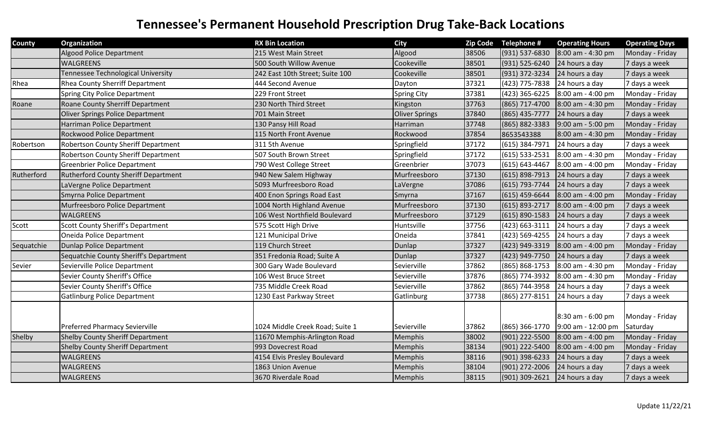| County     | Organization                                | <b>RX Bin Location</b>          | <b>City</b>           | <b>Zip Code</b> | Telephone #        | <b>Operating Hours</b> | <b>Operating Days</b> |
|------------|---------------------------------------------|---------------------------------|-----------------------|-----------------|--------------------|------------------------|-----------------------|
|            | <b>Algood Police Department</b>             | 215 West Main Street            | Algood                | 38506           | (931) 537-6830     | 8:00 am - 4:30 pm      | Monday - Friday       |
|            | <b>WALGREENS</b>                            | 500 South Willow Avenue         | Cookeville            | 38501           | (931) 525-6240     | 24 hours a day         | 7 days a week         |
|            | Tennessee Technological University          | 242 East 10th Street; Suite 100 | Cookeville            | 38501           | (931) 372-3234     | 24 hours a day         | 7 days a week         |
| Rhea       | Rhea County Sherriff Department             | 444 Second Avenue               | Dayton                | 37321           | (423) 775-7838     | 24 hours a day         | 7 days a week         |
|            | <b>Spring City Police Department</b>        | 229 Front Street                | <b>Spring City</b>    | 37381           | (423) 365-6225     | 8:00 am - 4:00 pm      | Monday - Friday       |
| Roane      | Roane County Sherriff Department            | 230 North Third Street          | Kingston              | 37763           | (865) 717-4700     | $8:00$ am - 4:30 pm    | Monday - Friday       |
|            | <b>Oliver Springs Police Department</b>     | 701 Main Street                 | <b>Oliver Springs</b> | 37840           | (865) 435-7777     | 24 hours a day         | 7 days a week         |
|            | Harriman Police Department                  | 130 Pansy Hill Road             | Harriman              | 37748           | (865) 882-3383     | 9:00 am - 5:00 pm      | Monday - Friday       |
|            | <b>Rockwood Police Department</b>           | 115 North Front Avenue          | Rockwood              | 37854           | 8653543388         | 8:00 am - 4:30 pm      | Monday - Friday       |
| Robertson  | <b>Robertson County Sheriff Department</b>  | 311 5th Avenue                  | Springfield           | 37172           | (615) 384-7971     | 24 hours a day         | 7 days a week         |
|            | Robertson County Sheriff Department         | 507 South Brown Street          | Springfield           | 37172           | $(615) 533 - 2531$ | 8:00 am - 4:30 pm      | Monday - Friday       |
|            | <b>Greenbrier Police Department</b>         | 790 West College Street         | Greenbrier            | 37073           | $(615) 643 - 4467$ | 8:00 am - 4:00 pm      | Monday - Friday       |
| Rutherford | <b>Rutherford County Sheriff Department</b> | 940 New Salem Highway           | Murfreesboro          | 37130           | $(615) 898 - 7913$ | 24 hours a day         | 7 days a week         |
|            | LaVergne Police Department                  | 5093 Murfreesboro Road          | LaVergne              | 37086           | (615) 793-7744     | 24 hours a day         | 7 days a week         |
|            | Smyrna Police Department                    | 400 Enon Springs Road East      | Smyrna                | 37167           | $(615)$ 459-6644   | 8:00 am - 4:00 pm      | Monday - Friday       |
|            | Murfreesboro Police Department              | 1004 North Highland Avenue      | Murfreesboro          | 37130           | $(615) 893 - 2717$ | 8:00 am - 4:00 pm      | 7 days a week         |
|            | WALGREENS                                   | 106 West Northfield Boulevard   | Murfreesboro          | 37129           | $(615) 890 - 1583$ | 24 hours a day         | 7 days a week         |
| Scott      | Scott County Sheriff's Department           | 575 Scott High Drive            | Huntsville            | 37756           | $(423) 663 - 3111$ | 24 hours a day         | 7 days a week         |
|            | Oneida Police Department                    | 121 Municipal Drive             | Oneida                | 37841           | (423) 569-4255     | 24 hours a day         | 7 days a week         |
| Sequatchie | Dunlap Police Department                    | 119 Church Street               | Dunlap                | 37327           | (423) 949-3319     | 8:00 am - 4:00 pm      | Monday - Friday       |
|            | Sequatchie County Sheriff's Department      | 351 Fredonia Road; Suite A      | Dunlap                | 37327           | (423) 949-7750     | 24 hours a day         | 7 days a week         |
| Sevier     | Sevierville Police Department               | 300 Gary Wade Boulevard         | Sevierville           | 37862           | (865) 868-1753     | 8:00 am - 4:30 pm      | Monday - Friday       |
|            | Sevier County Sheriff's Office              | 106 West Bruce Street           | Sevierville           | 37876           | (865) 774-3932     | 8:00 am - 4:30 pm      | Monday - Friday       |
|            | Sevier County Sheriff's Office              | 735 Middle Creek Road           | Sevierville           | 37862           | (865) 744-3958     | 24 hours a day         | 7 days a week         |
|            | <b>Gatlinburg Police Department</b>         | 1230 East Parkway Street        | Gatlinburg            | 37738           | (865) 277-8151     | 24 hours a day         | 7 days a week         |
|            |                                             |                                 |                       |                 |                    |                        |                       |
|            |                                             |                                 |                       |                 |                    | 8:30 am - 6:00 pm      | Monday - Friday       |
|            | <b>Preferred Pharmacy Sevierville</b>       | 1024 Middle Creek Road; Suite 1 | Sevierville           | 37862           | (865) 366-1770     | 9:00 am - 12:00 pm     | Saturday              |
| Shelby     | <b>Shelby County Sheriff Department</b>     | 11670 Memphis-Arlington Road    | Memphis               | 38002           | (901) 222-5500     | $8:00$ am - 4:00 pm    | Monday - Friday       |
|            | <b>Shelby County Sheriff Department</b>     | 993 Dovecrest Road              | Memphis               | 38134           | (901) 222-5400     | 8:00 am - 4:00 pm      | Monday - Friday       |
|            | WALGREENS                                   | 4154 Elvis Presley Boulevard    | Memphis               | 38116           | (901) 398-6233     | 24 hours a day         | 7 days a week         |
|            | WALGREENS                                   | 1863 Union Avenue               | Memphis               | 38104           | (901) 272-2006     | 24 hours a day         | 7 days a week         |
|            | WALGREENS                                   | 3670 Riverdale Road             | Memphis               | 38115           | $(901)$ 309-2621   | 24 hours a day         | 7 days a week         |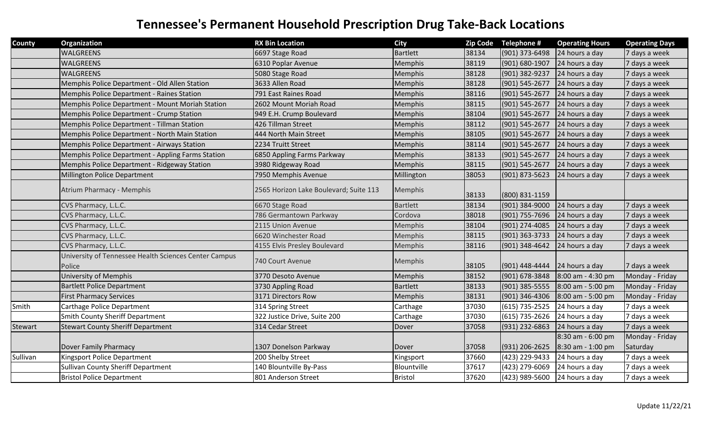| <b>County</b> | Organization                                                    | <b>RX Bin Location</b>                 | <b>City</b>     | <b>Zip Code</b> | Telephone #        | <b>Operating Hours</b> | <b>Operating Days</b> |
|---------------|-----------------------------------------------------------------|----------------------------------------|-----------------|-----------------|--------------------|------------------------|-----------------------|
|               | <b>WALGREENS</b>                                                | 6697 Stage Road                        | <b>Bartlett</b> | 38134           | $(901)$ 373-6498   | 24 hours a day         | 7 days a week         |
|               | <b>WALGREENS</b>                                                | 6310 Poplar Avenue                     | Memphis         | 38119           | $(901) 680 - 1907$ | 24 hours a day         | 7 days a week         |
|               | <b>WALGREENS</b>                                                | 5080 Stage Road                        | Memphis         | 38128           | (901) 382-9237     | 24 hours a day         | 7 days a week         |
|               | Memphis Police Department - Old Allen Station                   | 3633 Allen Road                        | Memphis         | 38128           | (901) 545-2677     | 24 hours a day         | 7 days a week         |
|               | Memphis Police Department - Raines Station                      | 791 East Raines Road                   | <b>Memphis</b>  | 38116           | (901) 545-2677     | 24 hours a day         | 7 days a week         |
|               | Memphis Police Department - Mount Moriah Station                | 2602 Mount Moriah Road                 | <b>Memphis</b>  | 38115           | (901) 545-2677     | 24 hours a day         | 7 days a week         |
|               | Memphis Police Department - Crump Station                       | 949 E.H. Crump Boulevard               | <b>Memphis</b>  | 38104           | (901) 545-2677     | 24 hours a day         | 7 days a week         |
|               | Memphis Police Department - Tillman Station                     | 426 Tillman Street                     | <b>Memphis</b>  | 38112           | (901) 545-2677     | 24 hours a day         | 7 days a week         |
|               | Memphis Police Department - North Main Station                  | 444 North Main Street                  | Memphis         | 38105           | (901) 545-2677     | 24 hours a day         | 7 days a week         |
|               | Memphis Police Department - Airways Station                     | 2234 Truitt Street                     | <b>Memphis</b>  | 38114           | $(901) 545 - 2677$ | 24 hours a day         | 7 days a week         |
|               | Memphis Police Department - Appling Farms Station               | 6850 Appling Farms Parkway             | <b>Memphis</b>  | 38133           | (901) 545-2677     | 24 hours a day         | 7 days a week         |
|               | Memphis Police Department - Ridgeway Station                    | 3980 Ridgeway Road                     | <b>Memphis</b>  | 38115           | $(901) 545 - 2677$ | 24 hours a day         | 7 days a week         |
|               | Millington Police Department                                    | 7950 Memphis Avenue                    | Millington      | 38053           | $(901) 873 - 5623$ | 24 hours a day         | 7 days a week         |
|               | Atrium Pharmacy - Memphis                                       | 2565 Horizon Lake Boulevard; Suite 113 | <b>Memphis</b>  | 38133           | $(800) 831 - 1159$ |                        |                       |
|               | CVS Pharmacy, L.L.C.                                            | 6670 Stage Road                        | <b>Bartlett</b> | 38134           | (901) 384-9000     | 24 hours a day         | 7 days a week         |
|               | CVS Pharmacy, L.L.C.                                            | 786 Germantown Parkway                 | Cordova         | 38018           | (901) 755-7696     | 24 hours a day         | 7 days a week         |
|               | CVS Pharmacy, L.L.C.                                            | 2115 Union Avenue                      | <b>Memphis</b>  | 38104           | (901) 274-4085     | 24 hours a day         | 7 days a week         |
|               | CVS Pharmacy, L.L.C.                                            | 6620 Winchester Road                   | Memphis         | 38115           | $(901)$ 363-3733   | 24 hours a day         | 7 days a week         |
|               | CVS Pharmacy, L.L.C.                                            | 4155 Elvis Presley Boulevard           | <b>Memphis</b>  | 38116           | (901) 348-4642     | 24 hours a day         | 7 days a week         |
|               | University of Tennessee Health Sciences Center Campus<br>Police | 740 Court Avenue                       | <b>Memphis</b>  | 38105           | $(901) 448 - 4444$ | 24 hours a day         | 7 days a week         |
|               | <b>University of Memphis</b>                                    | 3770 Desoto Avenue                     | Memphis         | 38152           | $(901) 678 - 3848$ | 8:00 am - 4:30 pm      | Monday - Friday       |
|               | <b>Bartlett Police Department</b>                               | 3730 Appling Road                      | <b>Bartlett</b> | 38133           | $(901)$ 385-5555   | 8:00 am - 5:00 pm      | Monday - Friday       |
|               | <b>First Pharmacy Services</b>                                  | 3171 Directors Row                     | <b>Memphis</b>  | 38131           | (901) 346-4306     | $8:00$ am - 5:00 pm    | Monday - Friday       |
| Smith         | Carthage Police Department                                      | 314 Spring Street                      | Carthage        | 37030           | $(615) 735 - 2525$ | 24 hours a day         | 7 days a week         |
|               | <b>Smith County Sheriff Department</b>                          | 322 Justice Drive, Suite 200           | Carthage        | 37030           | $(615)$ 735-2626   | 24 hours a day         | 7 days a week         |
| Stewart       | <b>Stewart County Sheriff Department</b>                        | 314 Cedar Street                       | Dover           | 37058           | (931) 232-6863     | 24 hours a day         | 7 days a week         |
|               |                                                                 |                                        |                 |                 |                    | 8:30 am - 6:00 pm      | Monday - Friday       |
|               | Dover Family Pharmacy                                           | 1307 Donelson Parkway                  | Dover           | 37058           | $(931)$ 206-2625   | 8:30 am - 1:00 pm      | Saturday              |
| Sullivan      | Kingsport Police Department                                     | 200 Shelby Street                      | Kingsport       | 37660           | (423) 229-9433     | 24 hours a day         | 7 days a week         |
|               | <b>Sullivan County Sheriff Department</b>                       | 140 Blountville By-Pass                | Blountville     | 37617           | (423) 279-6069     | 24 hours a day         | 7 days a week         |
|               | <b>Bristol Police Department</b>                                | 801 Anderson Street                    | <b>Bristol</b>  | 37620           | (423) 989-5600     | 24 hours a day         | 7 days a week         |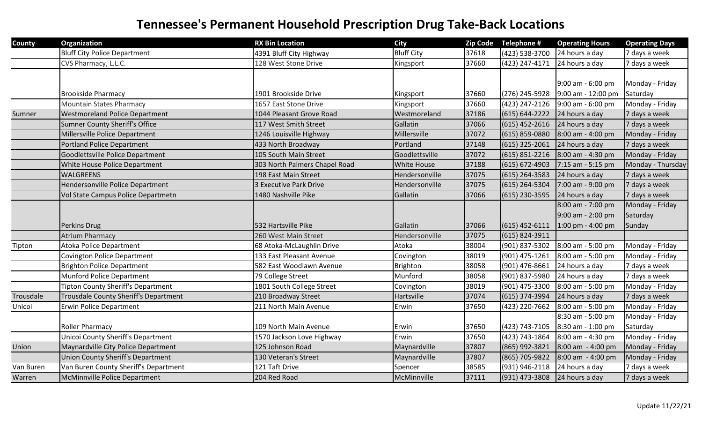| <b>County</b> | Organization                              | <b>RX Bin Location</b>        | <b>City</b>        |       | Zip Code Telephone # | <b>Operating Hours</b> | <b>Operating Days</b> |
|---------------|-------------------------------------------|-------------------------------|--------------------|-------|----------------------|------------------------|-----------------------|
|               | <b>Bluff City Police Department</b>       | 4391 Bluff City Highway       | <b>Bluff City</b>  | 37618 | (423) 538-3700       | 24 hours a day         | 7 days a week         |
|               | CVS Pharmacy, L.L.C.                      | 128 West Stone Drive          | Kingsport          | 37660 | (423) 247-4171       | 24 hours a day         | 7 days a week         |
|               |                                           |                               |                    |       |                      |                        |                       |
|               |                                           |                               |                    |       |                      | 9:00 am - 6:00 pm      | Monday - Friday       |
|               | <b>Brookside Pharmacy</b>                 | 1901 Brookside Drive          | Kingsport          | 37660 | (276) 245-5928       | 9:00 am - 12:00 pm     | Saturday              |
|               | <b>Mountain States Pharmacy</b>           | 1657 East Stone Drive         | Kingsport          | 37660 | (423) 247-2126       | 9:00 am - 6:00 pm      | Monday - Friday       |
| Sumner        | <b>Westmoreland Police Department</b>     | 1044 Pleasant Grove Road      | Westmoreland       | 37186 | $(615) 644 - 2222$   | 24 hours a day         | 7 days a week         |
|               | Sumner County Sheriff's Office            | 117 West Smith Street         | Gallatin           | 37066 | $(615)$ 452-2616     | 24 hours a day         | 7 days a week         |
|               | Millersville Police Department            | 1246 Louisville Highway       | Millersville       | 37072 | $(615)$ 859-0880     | 8:00 am - 4:00 pm      | Monday - Friday       |
|               | <b>Portland Police Department</b>         | 433 North Broadway            | Portland           | 37148 | $(615)$ 325-2061     | 24 hours a day         | 7 days a week         |
|               | Goodlettsville Police Department          | 105 South Main Street         | Goodlettsville     | 37072 | $(615) 851 - 2216$   | 8:00 am - 4:30 pm      | Monday - Friday       |
|               | White House Police Department             | 303 North Palmers Chapel Road | <b>White House</b> | 37188 | $(615) 672 - 4903$   | 7:15 am - 5:15 pm      | Monday - Thursday     |
|               | <b>WALGREENS</b>                          | 198 East Main Street          | Hendersonville     | 37075 | $(615)$ 264-3583     | 24 hours a day         | 7 days a week         |
|               | Hendersonville Police Department          | 3 Executive Park Drive        | Hendersonville     | 37075 | $(615)$ 264-5304     | 7:00 am - 9:00 pm      | 7 days a week         |
|               | Vol State Campus Police Departmetn        | 1480 Nashville Pike           | Gallatin           | 37066 | (615) 230-3595       | 24 hours a day         | 7 days a week         |
|               |                                           |                               |                    |       |                      | 8:00 am - 7:00 pm      | Monday - Friday       |
|               |                                           |                               |                    |       |                      | 9:00 am - 2:00 pm      | Saturday              |
|               | Perkins Drug                              | 532 Hartsville Pike           | Gallatin           | 37066 | $(615)$ 452-6111     | 1:00 pm - 4:00 pm      | Sunday                |
|               | <b>Atrium Pharmacy</b>                    | 260 West Main Street          | Hendersonville     | 37075 | (615) 824-3911       |                        |                       |
| Tipton        | <b>Atoka Police Department</b>            | 68 Atoka-McLaughlin Drive     | Atoka              | 38004 | (901) 837-5302       | 8:00 am - 5:00 pm      | Monday - Friday       |
|               | Covington Police Department               | 133 East Pleasant Avenue      | Covington          | 38019 | (901) 475-1261       | 8:00 am - 5:00 pm      | Monday - Friday       |
|               | Brighton Police Department                | 582 East Woodlawn Avenue      | Brighton           | 38058 | (901) 476-8661       | 24 hours a day         | 7 days a week         |
|               | Munford Police Department                 | 79 College Street             | Munford            | 38058 | (901) 837-5980       | 24 hours a day         | 7 days a week         |
|               | <b>Tipton County Sheriff's Department</b> | 1801 South College Street     | Covington          | 38019 | (901) 475-3300       | 8:00 am - 5:00 pm      | Monday - Friday       |
| Trousdale     | Trousdale County Sheriff's Department     | 210 Broadway Street           | Hartsville         | 37074 | (615) 374-3994       | 24 hours a day         | 7 days a week         |
| Unicoi        | <b>Erwin Police Department</b>            | 211 North Main Avenue         | Erwin              | 37650 | (423) 220-7662       | 8:00 am - 5:00 pm      | Monday - Friday       |
|               |                                           |                               |                    |       |                      | 8:30 am - 5:00 pm      | Monday - Friday       |
|               | <b>Roller Pharmacy</b>                    | 109 North Main Avenue         | Erwin              | 37650 | (423) 743-7105       | 8:30 am - 1:00 pm      | Saturday              |
|               | Unicoi County Sheriff's Department        | 1570 Jackson Love Highway     | Erwin              | 37650 | (423) 743-1864       | 8:00 am - 4:30 pm      | Monday - Friday       |
| Union         | Maynardville City Police Department       | 125 Johnson Road              | Maynardville       | 37807 | (865) 992-3821       | 8:00 am - 4:00 pm      | Monday - Friday       |
|               | Union County Sheriff's Department         | 130 Veteran's Street          | Maynardville       | 37807 | (865) 705-9822       | 8:00 am - 4:00 pm      | Monday - Friday       |
| Van Buren     | Van Buren County Sheriff's Department     | 121 Taft Drive                | Spencer            | 38585 | (931) 946-2118       | 24 hours a day         | 7 days a week         |
| Warren        | McMinnville Police Department             | 204 Red Road                  | McMinnville        | 37111 | (931) 473-3808       | 24 hours a day         | 7 days a week         |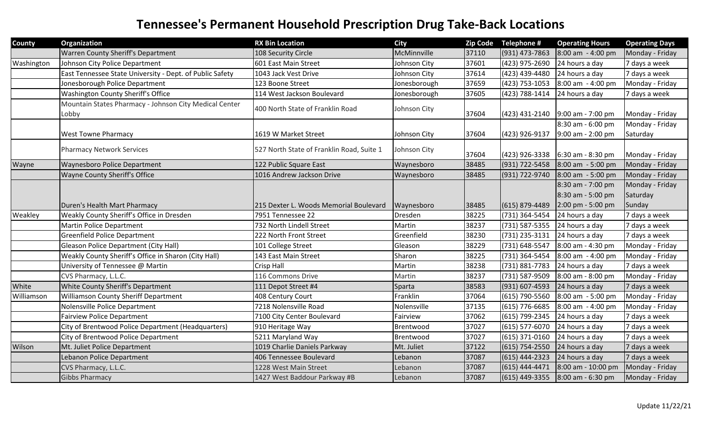| <b>County</b>  | Organization                                             | <b>RX Bin Location</b>                    | <b>City</b>  |       | Zip Code Telephone #          | <b>Operating Hours</b>                   | <b>Operating Days</b>       |
|----------------|----------------------------------------------------------|-------------------------------------------|--------------|-------|-------------------------------|------------------------------------------|-----------------------------|
|                | <b>Warren County Sheriff's Department</b>                | 108 Security Circle                       | McMinnville  | 37110 | $(931)$ 473-7863              | 8:00 am - 4:00 pm                        | Monday - Friday             |
| Washington     | Johnson City Police Department                           | 601 East Main Street                      | Johnson City | 37601 | (423) 975-2690                | 24 hours a day                           | 7 days a week               |
|                | East Tennessee State University - Dept. of Public Safety | 1043 Jack Vest Drive                      | Johnson City | 37614 | (423) 439-4480                | 24 hours a day                           | 7 days a week               |
|                | Jonesborough Police Department                           | 123 Boone Street                          | Jonesborough | 37659 | (423) 753-1053                | 8:00 am - 4:00 pm                        | Monday - Friday             |
|                | Washington County Sheriff's Office                       | 114 West Jackson Boulevard                | Jonesborough | 37605 | (423) 788-1414                | 24 hours a day                           | 7 days a week               |
|                | Mountain States Pharmacy - Johnson City Medical Center   | 400 North State of Franklin Road          | Johnson City |       |                               |                                          |                             |
|                | Lobby                                                    |                                           |              | 37604 |                               | $(423)$ 431-2140 9:00 am - 7:00 pm       | Monday - Friday             |
|                | <b>West Towne Pharmacy</b>                               | 1619 W Market Street                      | Johnson City | 37604 | $(423)$ 926-9137              | 8:30 am - 6:00 pm<br>$9:00$ am - 2:00 pm | Monday - Friday<br>Saturday |
|                | <b>Pharmacy Network Services</b>                         | 527 North State of Franklin Road, Suite 1 | Johnson City |       |                               |                                          |                             |
|                |                                                          |                                           |              | 37604 |                               | $(423)$ 926-3338 6:30 am - 8:30 pm       | Monday - Friday             |
| Wayne          | <b>Waynesboro Police Department</b>                      | 122 Public Square East                    | Waynesboro   | 38485 | (931) 722-5458                | $8:00$ am $-5:00$ pm                     | Monday - Friday             |
|                | Wayne County Sheriff's Office                            | 1016 Andrew Jackson Drive                 | Waynesboro   | 38485 | (931) 722-9740                | $8:00$ am $-5:00$ pm                     | Monday - Friday             |
|                |                                                          |                                           |              |       |                               | 8:30 am - 7:00 pm                        | Monday - Friday             |
|                |                                                          |                                           |              |       |                               | 8:30 am - 5:00 pm                        | Saturday                    |
|                | Duren's Health Mart Pharmacy                             | 215 Dexter L. Woods Memorial Boulevard    | Waynesboro   | 38485 | $(615) 879 - 4489$            | 2:00 pm - 5:00 pm                        | Sunday                      |
| <b>Weakley</b> | Weakly County Sheriff's Office in Dresden                | 7951 Tennessee 22                         | Dresden      | 38225 | (731) 364-5454                | 24 hours a day                           | 7 days a week               |
|                | Martin Police Department                                 | 732 North Lindell Street                  | Martin       | 38237 | (731) 587-5355 24 hours a day |                                          | 7 days a week               |
|                | <b>Greenfield Police Department</b>                      | 222 North Front Street                    | Greenfield   | 38230 | (731) 235-3131                | 24 hours a day                           | 7 days a week               |
|                | <b>Gleason Police Department (City Hall)</b>             | 101 College Street                        | Gleason      | 38229 | (731) 648-5547                | 8:00 am - 4:30 pm                        | Monday - Friday             |
|                | Weakly County Sheriff's Office in Sharon (City Hall)     | 143 East Main Street                      | Sharon       | 38225 | (731) 364-5454                | 8:00 am - 4:00 pm                        | Monday - Friday             |
|                | University of Tennessee @ Martin                         | <b>Crisp Hall</b>                         | Martin       | 38238 | (731) 881-7783                | 24 hours a day                           | 7 days a week               |
|                | CVS Pharmacy, L.L.C.                                     | 116 Commons Drive                         | Martin       | 38237 | (731) 587-9509                | 8:00 am - 8:00 pm                        | Monday - Friday             |
| White          | White County Sheriff's Department                        | 111 Depot Street #4                       | Sparta       | 38583 | (931) 607-4593                | 24 hours a day                           | 7 days a week               |
| Williamson     | <b>Williamson County Sheriff Department</b>              | 408 Century Court                         | Franklin     | 37064 | (615) 790-5560                | 8:00 am - 5:00 pm                        | Monday - Friday             |
|                | Nolensville Police Department                            | 7218 Nolensville Road                     | Nolensville  | 37135 | (615) 776-6685                | $8:00$ am $-4:00$ pm                     | Monday - Friday             |
|                | <b>Fairview Police Department</b>                        | 7100 City Center Boulevard                | Fairview     | 37062 | (615) 799-2345                | 24 hours a day                           | 7 days a week               |
|                | City of Brentwood Police Department (Headquarters)       | 910 Heritage Way                          | Brentwood    | 37027 | $(615)$ 577-6070              | 24 hours a day                           | 7 days a week               |
|                | City of Brentwood Police Department                      | 5211 Maryland Way                         | Brentwood    | 37027 | $(615)$ 371-0160              | 24 hours a day                           | 7 days a week               |
| Wilson         | Mt. Juliet Police Department                             | 1019 Charlie Daniels Parkway              | Mt. Juliet   | 37122 | $(615) 754 - 2550$            | 24 hours a day                           | 7 days a week               |
|                | Lebanon Police Department                                | 406 Tennessee Boulevard                   | Lebanon      | 37087 | $(615)$ 444-2323              | 24 hours a day                           | 7 days a week               |
|                | CVS Pharmacy, L.L.C.                                     | 1228 West Main Street                     | Lebanon      | 37087 | $(615)$ 444-4471              | 8:00 am - 10:00 pm                       | Monday - Friday             |
|                | <b>Gibbs Pharmacy</b>                                    | 1427 West Baddour Parkway #B              | Lebanon      | 37087 |                               | $(615)$ 449-3355 8:00 am - 6:30 pm       | Monday - Friday             |